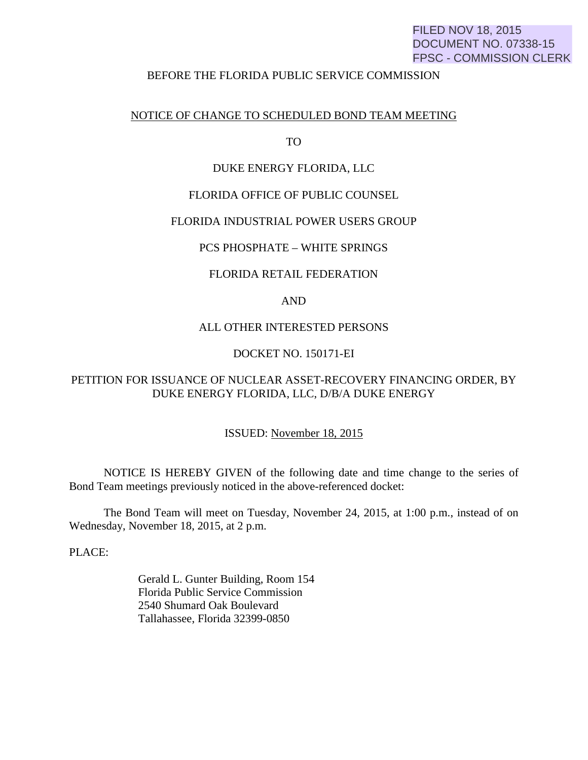# FILED NOV 18, 2015 DOCUMENT NO. 07338-15 FPSC - COMMISSION CLERK

### BEFORE THE FLORIDA PUBLIC SERVICE COMMISSION

# NOTICE OF CHANGE TO SCHEDULED BOND TEAM MEETING

TO

#### DUKE ENERGY FLORIDA, LLC

### FLORIDA OFFICE OF PUBLIC COUNSEL

## FLORIDA INDUSTRIAL POWER USERS GROUP

# PCS PHOSPHATE – WHITE SPRINGS

#### FLORIDA RETAIL FEDERATION

# AND

# ALL OTHER INTERESTED PERSONS

# DOCKET NO. 150171-EI

# PETITION FOR ISSUANCE OF NUCLEAR ASSET-RECOVERY FINANCING ORDER, BY DUKE ENERGY FLORIDA, LLC, D/B/A DUKE ENERGY

## ISSUED: November 18, 2015

 NOTICE IS HEREBY GIVEN of the following date and time change to the series of Bond Team meetings previously noticed in the above-referenced docket:

 The Bond Team will meet on Tuesday, November 24, 2015, at 1:00 p.m., instead of on Wednesday, November 18, 2015, at 2 p.m.

PLACE:

 Gerald L. Gunter Building, Room 154 Florida Public Service Commission 2540 Shumard Oak Boulevard Tallahassee, Florida 32399-0850